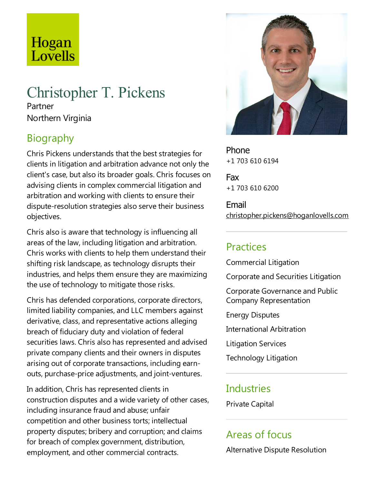# Hogan Lovells

# Christopher T. Pickens

Partner Northern Virginia

## **Biography**

Chris Pickens understands that the best strategies for clients in litigation and arbitration advance not only the client's case, but also its broader goals. Chris focuses on advising clients in complex commercial litigation and arbitration and working with clients to ensure their dispute-resolution strategies also serve their business objectives.

Chris also is aware that technology is influencing all areas of the law, including litigation and arbitration. Chris works with clients to help them understand their shifting risk landscape, as technology disrupts their industries, and helps them ensure they are maximizing the use of technology to mitigate those risks.

Chris has defended corporations, corporate directors, limited liability companies, and LLC members against derivative, class, and representative actions alleging breach of fiduciary duty and violation of federal securities laws. Chris also has represented and advised private company clients and their owners in disputes arising out of corporate transactions, including earnouts, purchase-price adjustments, and joint-ventures.

In addition, Chris has represented clients in construction disputes and a wide variety of other cases, including insurance fraud and abuse; unfair competition and other business torts; intellectual property disputes; bribery and corruption;and claims for breach of complex government, distribution, employment, and other commercial contracts.



Phone +1 703 610 6194

Fax +1 703 610 6200

Email christopher.pickens@hoganlovells.com

#### Practices

Commercial Litigation

Corporate and Securities Litigation

Corporate Governance and Public Company Representation

Energy Disputes

International Arbitration

Litigation Services

Technology Litigation

#### **Industries**

Private Capital

### Areas of focus

Alternative Dispute Resolution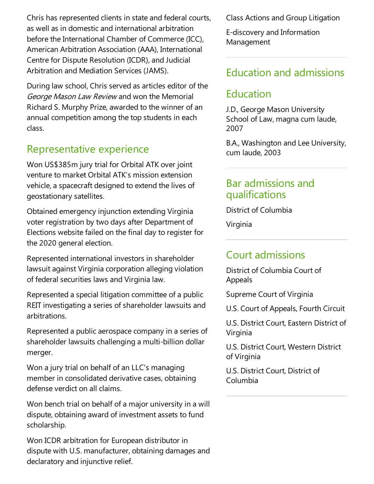Chris has represented clients in state and federal courts, as well as in domesticand international arbitration before the International Chamber of Commerce (ICC), American Arbitration Association (AAA), International Centre for Dispute Resolution (ICDR), and Judicial Arbitration and Mediation Services (JAMS).

During law school, Chris served as articles editor of the George Mason Law Review and won the Memorial Richard S. Murphy Prize, awarded to the winner of an annual competition among the top students in each class.

### Representative experience

Won US\$385m jury trial for Orbital ATK over joint venture to market Orbital ATK's mission extension vehicle, a spacecraft designed to extend the lives of geostationary satellites.

Obtained emergency injunction extending Virginia voter registration by two days after Department of Elections website failed on the final day to register for the 2020 general election.

Represented international investors in shareholder lawsuit against Virginia corporation alleging violation of federal securities laws and Virginia law.

Represented a special litigation committee of a public REIT investigating a series of shareholder lawsuits and arbitrations.

Represented a public aerospace company in a series of shareholder lawsuits challenging a multi-billion dollar merger.

Won a jury trial on behalf of an LLC's managing member in consolidated derivative cases, obtaining defense verdict on all claims.

Won bench trial on behalf of a major university in a will dispute, obtaining award of investment assets to fund scholarship.

Won ICDR arbitration for European distributor in dispute with U.S. manufacturer, obtaining damages and declaratory and injunctive relief.

Class Actions and Group Litigation

E-discovery and Information Management

#### Education and admissions

### Education

J.D., George Mason University School of Law, magna cum laude, 2007

B.A., Washington and Lee University, cum laude, 2003

#### Bar admissions and qualifications

District of Columbia

Virginia

#### Court admissions

District of Columbia Court of Appeals

Supreme Court of Virginia

U.S. Court of Appeals, Fourth Circuit

U.S. District Court, Eastern District of Virginia

U.S. District Court, Western District of Virginia

U.S. District Court, District of Columbia